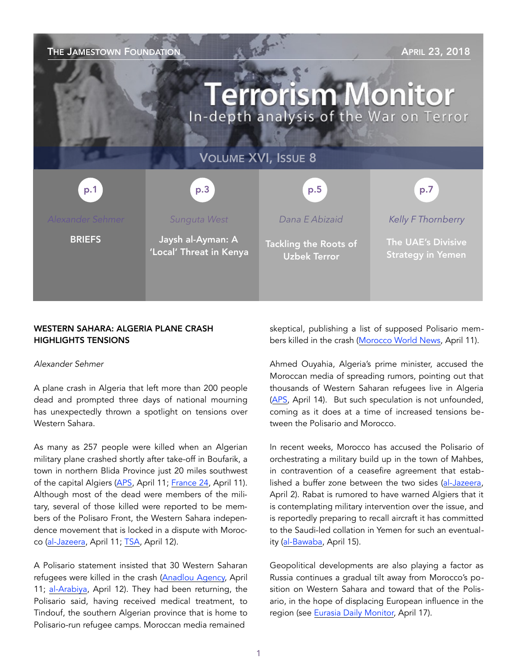| THE JAMESTOWN FOUNDATION<br><b>APRIL 23, 2018</b><br><b>Terrorism Monitor</b><br>In-depth analysis of the War on Terror |                                              |                                                     |                                                |
|-------------------------------------------------------------------------------------------------------------------------|----------------------------------------------|-----------------------------------------------------|------------------------------------------------|
| <b>VOLUME XVI, ISSUE 8</b>                                                                                              |                                              |                                                     |                                                |
| p.1                                                                                                                     | p.3                                          | p.5                                                 | p.7                                            |
| <b>Alexander Sehmer</b>                                                                                                 | Sunguta West                                 | Dana E Abizaid                                      | Kelly F Thornberry                             |
| <b>BRIEFS</b>                                                                                                           | Jaysh al-Ayman: A<br>'Local' Threat in Kenya | <b>Tackling the Roots of</b><br><b>Uzbek Terror</b> | The UAE's Divisive<br><b>Strategy in Yemen</b> |

## WESTERN SAHARA: ALGERIA PLANE CRASH HIGHLIGHTS TENSIONS

#### *Alexander Sehmer*

A plane crash in Algeria that left more than 200 people dead and prompted three days of national mourning has unexpectedly thrown a spotlight on tensions over Western Sahara.

As many as 257 people were killed when an Algerian military plane crashed shortly after take-off in Boufarik, a town in northern Blida Province just 20 miles southwest of the capital Algiers ([APS](http://www.aps.dz/algerie/72459-blida-un-avion-militaire-s-ecrase-dans-le-perimetre-de-la-base-aerienne-de-boufarik), April 11; [France 24,](http://www.france24.com/en/20180411-algeria-military-plane-crashes-with-more-100-board) April 11). Although most of the dead were members of the military, several of those killed were reported to be members of the Polisaro Front, the Western Sahara independence movement that is locked in a dispute with Moroc-co [\(al-Jazeera,](https://www.aljazeera.com/news/2018/04/algeria-military-plane-crashes-boufarik-airport-reports-180411081014559.html) April 11; [TSA](https://www.tsa-algerie.com/il-a-revele-la-presence-de-sahraouis-dans-lavion-la-bourde-de-trop-pour-ould-abbes/), April 12).

A Polisario statement insisted that 30 Western Saharan refugees were killed in the crash ([Anadlou Agency,](https://aa.com.tr/en/africa/30-sahrawis-killed-in-algeria-plane-crash-polisario/1115290) April 11; [al-Arabiya](https://english.alarabiya.net/en/News/north-africa/2018/04/12/Polisario-Front-30-Sahrawis-and-relatives-died-on-crashed-Algerian-plane-.html), April 12). They had been returning, the Polisario said, having received medical treatment, to Tindouf, the southern Algerian province that is home to Polisario-run refugee camps. Moroccan media remained

skeptical, publishing a list of supposed Polisario members killed in the crash ([Morocco World News,](https://www.moroccoworldnews.com/2018/04/244247/algerian-plane-crashes-passengers-include-30-members-of-polisario/) April 11).

Ahmed Ouyahia, Algeria's prime minister, accused the Moroccan media of spreading rumors, pointing out that thousands of Western Saharan refugees live in Algeria ([APS,](http://www.aps.dz/algerie/72603-ouyahia-l-algerie-n-a-jamais-cache-sa-solidarite-avec-le-peuple-sahraoui-dans-sa-lutte-pour-sa-cause-juste) April 14). But such speculation is not unfounded, coming as it does at a time of increased tensions between the Polisario and Morocco.

In recent weeks, Morocco has accused the Polisario of orchestrating a military build up in the town of Mahbes, in contravention of a ceasefire agreement that established a buffer zone between the two sides [\(al-Jazeera,](https://www.aljazeera.com/news/2018/04/morocco-warns-polisario-provocation-western-sahara-180402081056065.html) April 2). Rabat is rumored to have warned Algiers that it is contemplating military intervention over the issue, and is reportedly preparing to recall aircraft it has committed to the Saudi-led collation in Yemen for such an eventuality ([al-Bawaba](https://www.albawaba.com/news/morocco-pulls-out-saudi-led-coalition-military-buildup-against-polisario-front-1117294), April 15).

Geopolitical developments are also playing a factor as Russia continues a gradual tilt away from Morocco's position on Western Sahara and toward that of the Polisario, in the hope of displacing European influence in the region (see [Eurasia Daily Monitor,](https://jamestown.org/program/moscow-tilts-toward-polisario-against-morocco-and-europe/) April 17).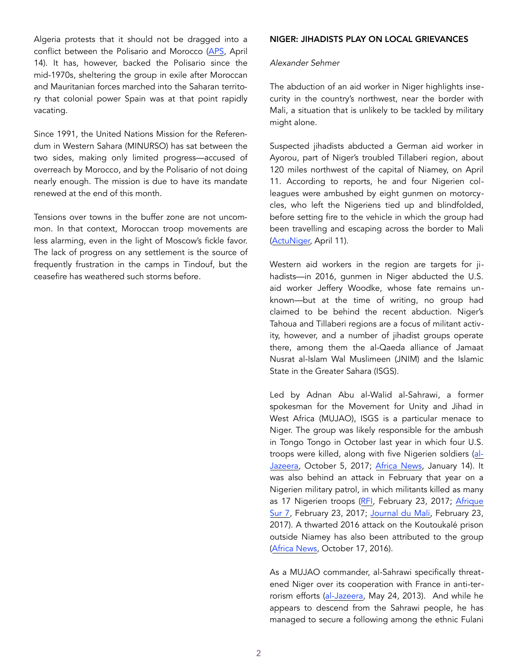Algeria protests that it should not be dragged into a conflict between the Polisario and Morocco ([APS,](http://www.aps.dz/algerie/72592-l-algerie-ne-cedera-pas-a-l-offensive-mediatique-marocaine-et-observe-la-sagesse-dans-le-traitement-des-questions-internationales) April 14). It has, however, backed the Polisario since the mid-1970s, sheltering the group in exile after Moroccan and Mauritanian forces marched into the Saharan territory that colonial power Spain was at that point rapidly vacating.

Since 1991, the United Nations Mission for the Referendum in Western Sahara (MINURSO) has sat between the two sides, making only limited progress—accused of overreach by Morocco, and by the Polisario of not doing nearly enough. The mission is due to have its mandate renewed at the end of this month.

Tensions over towns in the buffer zone are not uncommon. In that context, Moroccan troop movements are less alarming, even in the light of Moscow's fickle favor. The lack of progress on any settlement is the source of frequently frustration in the camps in Tindouf, but the ceasefire has weathered such storms before.

#### NIGER: JIHADISTS PLAY ON LOCAL GRIEVANCES

#### *Alexander Sehmer*

The abduction of an aid worker in Niger highlights insecurity in the country's northwest, near the border with Mali, a situation that is unlikely to be tackled by military might alone.

Suspected jihadists abducted a German aid worker in Ayorou, part of Niger's troubled Tillaberi region, about 120 miles northwest of the capital of Niamey, on April 11. According to reports, he and four Nigerien colleagues were ambushed by eight gunmen on motorcycles, who left the Nigeriens tied up and blindfolded, before setting fire to the vehicle in which the group had been travelling and escaping across the border to Mali ([ActuNiger,](mailto:http://www.actuniger.com/societe/14010-tillaberi-un-humanitaire-allemand-enleve-a-tingarane-nord-niger.html) April 11).

Western aid workers in the region are targets for jihadists—in 2016, gunmen in Niger abducted the U.S. aid worker Jeffery Woodke, whose fate remains unknown—but at the time of writing, no group had claimed to be behind the recent abduction. Niger's Tahoua and Tillaberi regions are a focus of militant activity, however, and a number of jihadist groups operate there, among them the al-Qaeda alliance of Jamaat Nusrat al-Islam Wal Muslimeen (JNIM) and the Islamic State in the Greater Sahara (ISGS).

Led by Adnan Abu al-Walid al-Sahrawi, a former spokesman for the Movement for Unity and Jihad in West Africa (MUJAO), ISGS is a particular menace to Niger. The group was likely responsible for the ambush in Tongo Tongo in October last year in which four U.S. troops were killed, along with five Nigerien soldiers ([al-](https://www.aljazeera.com/news/2017/10/troops-killed-ambush-joint-niger-patrol-171005041922809.html)[Jazeera,](https://www.aljazeera.com/news/2017/10/troops-killed-ambush-joint-niger-patrol-171005041922809.html) October 5, 2017; [Africa News,](http://www.africanews.com/2018/01/14/islamic-state-affiliate-claims-deadly-attack-on-us-troops-in-niger//) January 14). It was also behind an attack in February that year on a Nigerien military patrol, in which militants killed as many as 17 Nigerien troops ([RFI,](http://www.rfi.fr/afrique/20170223-niger-11-militaires-tues-attaque-frontiere-malienne-tliwa) February 23, 2017; Afrique [Sur 7,](https://www.afrique-sur7.fr/373835-niger-larmee-nigerienne-perd-11-soldats-dans-une-embuscade-a-tilwa) February 23, 2017; [Journal du Mali,](http://www.journaldumali.com/2017/02/23/niger-letat-islamique-sahel-revendique-lattaque-contre-larmee-nigerienne/) February 23, 2017). A thwarted 2016 attack on the Koutoukalé prison outside Niamey has also been attributed to the group ([Africa News,](http://www.africanews.com/2016/10/17/attack-on-a-prison-holding-terrorists-in-niger-foiled//) October 17, 2016).

As a MUJAO commander, al-Sahrawi specifically threatened Niger over its cooperation with France in anti-terrorism efforts ([al-Jazeera,](https://www.aljazeera.com/news/africa/2013/05/201352394018909665.html) May 24, 2013). And while he appears to descend from the Sahrawi people, he has managed to secure a following among the ethnic Fulani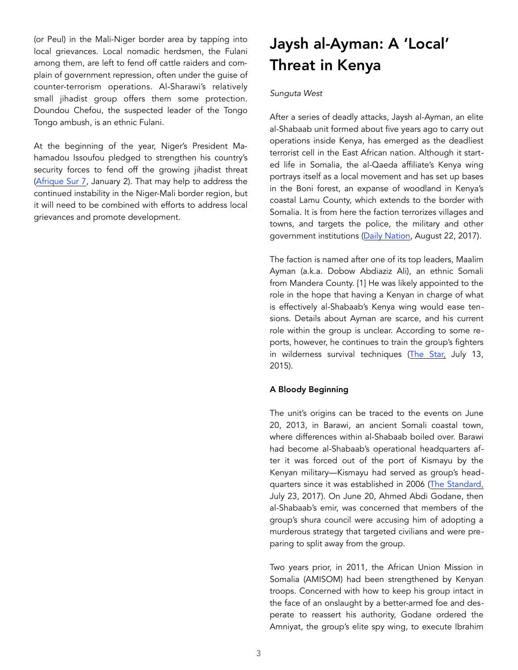(or Peul) in the Mali-Niger border area by tapping into local grievances. Local nomadic herdsmen, the Fulani among them, are left to fend off cattle raiders and complain of government repression, often under the guise of counter-terrorism operations. Al-Sharawi's relatively small jihadist group offers them some protection. Doundou Chefou, the suspected leader of the Tongo Tongo ambush, is an ethnic Fulani.

At the beginning of the year, Niger's President Mahamadou Issoufou pledged to strengthen his country's security forces to fend off the growing jihadist threat ([Afrique Sur 7,](https://www.afrique-sur7.fr/381150-niger-mahamadou-issoufou-veut-renforcer-son-armee-en-2018) January 2). That may help to address the continued instability in the Niger-Mali border region, but it will need to be combined with efforts to address local grievances and promote development.

# Jaysh al-Ayman: A 'Local' Threat in Kenya

#### *Sunguta West*

After a series of deadly attacks, Jaysh al-Ayman, an elite al-Shabaab unit formed about five years ago to carry out operations inside Kenya, has emerged as the deadliest terrorist cell in the East African nation. Although it started life in Somalia, the al-Qaeda affiliate's Kenya wing portrays itself as a local movement and has set up bases in the Boni forest, an expanse of woodland in Kenya's coastal Lamu County, which extends to the border with Somalia. It is from here the faction terrorizes villages and towns, and targets the police, the military and other government institutions ([Daily Nation](https://www.nation.co.ke/news/Dilemma-for-Garissa-herders-in-Boni-Forest/1056-4066854-nu3wl2z/index.html), August 22, 2017).

The faction is named after one of its top leaders, Maalim Ayman (a.k.a. Dobow Abdiaziz Ali), an ethnic Somali from Mandera County. [1] He was likely appointed to the role in the hope that having a Kenyan in charge of what is effectively al-Shabaab's Kenya wing would ease tensions. Details about Ayman are scarce, and his current role within the group is unclear. According to some reports, however, he continues to train the group's fighters in wilderness survival techniques ([The Star,](https://www.the-star.co.ke/news/2015/07/13/al-shabaab-unit-formed-to-cripple-kenya_c1166804) July 13, 2015).

## A Bloody Beginning

The unit's origins can be traced to the events on June 20, 2013, in Barawi, an ancient Somali coastal town, where differences within al-Shabaab boiled over. Barawi had become al-Shabaab's operational headquarters after it was forced out of the port of Kismayu by the Kenyan military—Kismayu had served as group's headquarters since it was established in 2006 ([The Standard,](https://www.standardmedia.co.ke/article/2001248735/why-raids-are-a-cause-for-worry-as-al-shabaab-changes-face) July 23, 2017). On June 20, Ahmed Abdi Godane, then al-Shabaab's emir, was concerned that members of the group's shura council were accusing him of adopting a murderous strategy that targeted civilians and were preparing to split away from the group.

Two years prior, in 2011, the African Union Mission in Somalia (AMISOM) had been strengthened by Kenyan troops. Concerned with how to keep his group intact in the face of an onslaught by a better-armed foe and desperate to reassert his authority, Godane ordered the Amniyat, the group's elite spy wing, to execute Ibrahim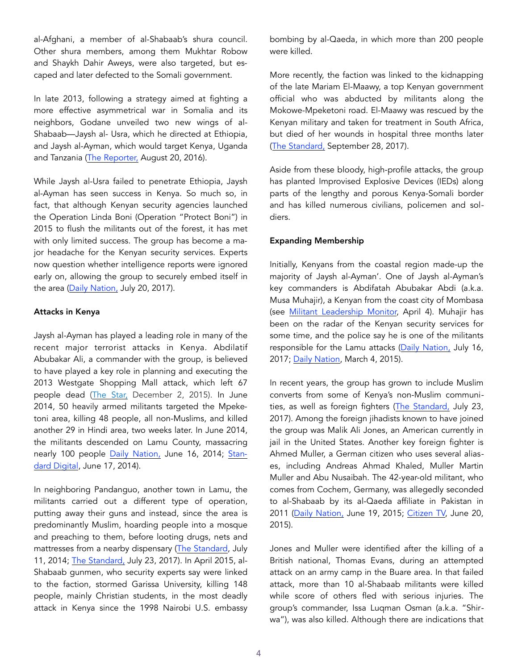al-Afghani, a member of al-Shabaab's shura council. Other shura members, among them Mukhtar Robow and Shaykh Dahir Aweys, were also targeted, but escaped and later defected to the Somali government.

In late 2013, following a strategy aimed at fighting a more effective asymmetrical war in Somalia and its neighbors, Godane unveiled two new wings of al-Shabaab—Jaysh al- Usra, which he directed at Ethiopia, and Jaysh al-Ayman, which would target Kenya, Uganda and Tanzania ([The Reporter,](https://www.thereporterethiopia.com/content/al-shabaab-no-longer-exclusively-somali-problem) August 20, 2016).

While Jaysh al-Usra failed to penetrate Ethiopia, Jaysh al-Ayman has seen success in Kenya. So much so, in fact, that although Kenyan security agencies launched the Operation Linda Boni (Operation "Protect Boni") in 2015 to flush the militants out of the forest, it has met with only limited success. The group has become a major headache for the Kenyan security services. Experts now question whether intelligence reports were ignored early on, allowing the group to securely embed itself in the area ([Daily Nation,](https://www.nation.co.ke/news/Agencies--ignored-intelligence-reports--on--Shabaab--/1056-4023478-12vodwo/index.html) July 20, 2017).

#### Attacks in Kenya

Jaysh al-Ayman has played a leading role in many of the recent major terrorist attacks in Kenya. Abdilatif Abubakar Ali, a commander with the group, is believed to have played a key role in planning and executing the 2013 Westgate Shopping Mall attack, which left 67 people dead ([The Star,](https://www.the-star.co.ke/news/2015/12/02/security-agents-say-missing-youth-have-joined-al-shabaab_c1248503%22%20%5Ct%20%22_blank) December 2, 2015). In June 2014, 50 heavily armed militants targeted the Mpeketoni area, killing 48 people, all non-Muslims, and killed another 29 in Hindi area, two weeks later. In June 2014, the militants descended on Lamu County, massacring nearly 100 people [Daily Nation,](https://www.nation.co.ke/news/mpeketoni-Lamu-gunfire-al-shabaab-terrorism/1056-2349860-10elxgcz/index.html) June 16, 2014; [Stan](https://www.standardmedia.co.ke/article/2000125005/gunmen-kill-48-in-mpeketoni-s-night-orgy-of-violence)[dard Digital,](https://www.standardmedia.co.ke/article/2000125005/gunmen-kill-48-in-mpeketoni-s-night-orgy-of-violence) June 17, 2014).

In neighboring Pandanguo, another town in Lamu, the militants carried out a different type of operation, putting away their guns and instead, since the area is predominantly Muslim, hoarding people into a mosque and preaching to them, before looting drugs, nets and mattresses from a nearby dispensary [\(The Standard](https://www.standardmedia.co.ke/article/2000127827/criminals-escape-with-6-guns-after-attacking-pandanguo-in-lamu/), July 11, 2014; [The Standard,](https://www.standardmedia.co.ke/article/2001248735/why-raids-are-a-cause-for-worry-as-al-shabaab-changes-face) July 23, 2017). In April 2015, al-Shabaab gunmen, who security experts say were linked to the faction, stormed Garissa University, killing 148 people, mainly Christian students, in the most deadly attack in Kenya since the 1998 Nairobi U.S. embassy bombing by al-Qaeda, in which more than 200 people were killed.

More recently, the faction was linked to the kidnapping of the late Mariam El-Maawy, a top Kenyan government official who was abducted by militants along the Mokowe-Mpeketoni road. El-Maawy was rescued by the Kenyan military and taken for treatment in South Africa, but died of her wounds in hospital three months later ([The Standard,](https://www.standardmedia.co.ke/article/2001255796/public-works-ps-mariam-el-maawy-dies-in-hospital-three-months-after-al-shabaab-attack) September 28, 2017).

Aside from these bloody, high-profile attacks, the group has planted Improvised Explosive Devices (IEDs) along parts of the lengthy and porous Kenya-Somali border and has killed numerous civilians, policemen and soldiers.

### Expanding Membership

Initially, Kenyans from the coastal region made-up the majority of Jaysh al-Ayman'. One of Jaysh al-Ayman's key commanders is Abdifatah Abubakar Abdi (a.k.a. Musa Muhajir), a Kenyan from the coast city of Mombasa (see [Militant Leadership Monitor,](https://jamestown.org/program/overseeing-al-shabaabs-kenyan-resurgence-the-ascendance-of-jaysh-al-ayman-commander-abdifatah-abubakar-abdi/) April 4). Muhajir has been on the radar of the Kenyan security services for some time, and the police say he is one of the militants responsible for the Lamu attacks ([Daily Nation,](https://www.nation.co.ke/news/Security-agencies-blame--new-outfit--for-terror-attacks-/1056-4016906-wpf3k7z/index.html) July 16, 2017; [Daily Nation,](https://mobile.nation.co.ke/news/List-of-men-wanted-for-terrorism/1950946-2674992-format-xhtml-ccc5igz/index.html) March 4, 2015).

In recent years, the group has grown to include Muslim converts from some of Kenya's non-Muslim communities, as well as foreign fighters ([The Standard,](https://www.standardmedia.co.ke/article/2001248735/why-raids-are-a-cause-for-worry-as-al-shabaab-changes-face) July 23, 2017). Among the foreign jihadists known to have joined the group was Malik Ali Jones, an American currently in jail in the United States. Another key foreign fighter is Ahmed Muller, a German citizen who uses several aliases, including Andreas Ahmad Khaled, Muller Martin Muller and Abu Nusaibah. The 42-year-old militant, who comes from Cochem, Germany, was allegedly seconded to al-Shabaab by its al-Qaeda affiliate in Pakistan in 2011 ([Daily Nation,](https://www.nation.co.ke/news/These-are-the-most-wanted-terror-suspects/1056-2758430-eedr8e/index.html) June 19, 2015; [Citizen TV,](https://citizentv.co.ke/news/police-release-photos-of-botched-lamu-attack-suspects-89550/) June 20, 2015).

Jones and Muller were identified after the killing of a British national, Thomas Evans, during an attempted attack on an army camp in the Buare area. In that failed attack, more than 10 al-Shabaab militants were killed while score of others fled with serious injuries. The group's commander, Issa Luqman Osman (a.k.a. "Shirwa"), was also killed. Although there are indications that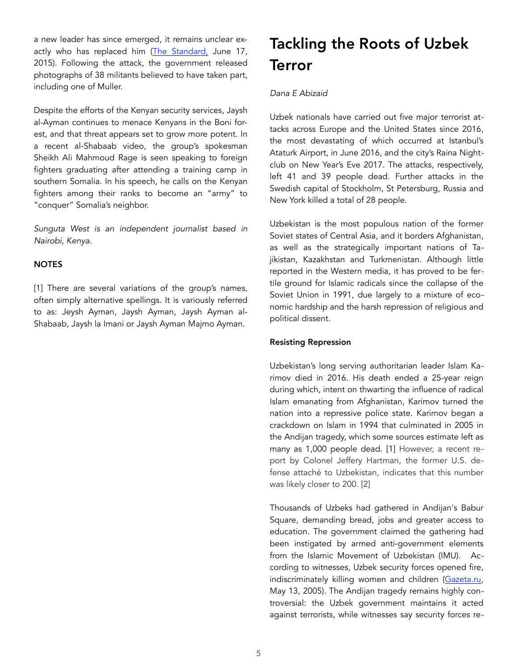a new leader has since emerged, it remains unclear exactly who has replaced him [\(The Standard,](https://www.standardmedia.co.ke/article/2000165983/slain-al-shabaab-commander-luqman-osman-was-a-graduate-from-uganda-says-family) June 17, 2015). Following the attack, the government released photographs of 38 militants believed to have taken part, including one of Muller.

Despite the efforts of the Kenyan security services, Jaysh al-Ayman continues to menace Kenyans in the Boni forest, and that threat appears set to grow more potent. In a recent al-Shabaab video, the group's spokesman Sheikh Ali Mahmoud Rage is seen speaking to foreign fighters graduating after attending a training camp in southern Somalia. In his speech, he calls on the Kenyan fighters among their ranks to become an "army" to "conquer" Somalia's neighbor.

*Sunguta West is an independent journalist based in Nairobi, Kenya.* 

## **NOTES**

[1] There are several variations of the group's names, often simply alternative spellings. It is variously referred to as: Jeysh Ayman, Jaysh Ayman, Jaysh Ayman al-Shabaab, Jaysh la Imani or Jaysh Ayman Majmo Ayman.

# Tackling the Roots of Uzbek Terror

### *Dana E Abizaid*

Uzbek nationals have carried out five major terrorist attacks across Europe and the United States since 2016, the most devastating of which occurred at Istanbul's Ataturk Airport, in June 2016, and the city's Raina Nightclub on New Year's Eve 2017. The attacks, respectively, left 41 and 39 people dead. Further attacks in the Swedish capital of Stockholm, St Petersburg, Russia and New York killed a total of 28 people.

Uzbekistan is the most populous nation of the former Soviet states of Central Asia, and it borders Afghanistan, as well as the strategically important nations of Tajikistan, Kazakhstan and Turkmenistan. Although little reported in the Western media, it has proved to be fertile ground for Islamic radicals since the collapse of the Soviet Union in 1991, due largely to a mixture of economic hardship and the harsh repression of religious and political dissent.

#### Resisting Repression

Uzbekistan's long serving authoritarian leader Islam Karimov died in 2016. His death ended a 25-year reign during which, intent on thwarting the influence of radical Islam emanating from Afghanistan, Karimov turned the nation into a repressive police state. Karimov began a crackdown on Islam in 1994 that culminated in 2005 in the Andijan tragedy, which some sources estimate left as many as 1,000 people dead. [1] However, a recent report by Colonel Jeffery Hartman, the former U.S. defense attaché to Uzbekistan, indicates that this number was likely closer to 200. [2]

Thousands of Uzbeks had gathered in Andijan's Babur Square, demanding bread, jobs and greater access to education. The government claimed the gathering had been instigated by armed anti-government elements from the Islamic Movement of Uzbekistan (IMU). According to witnesses, Uzbek security forces opened fire, indiscriminately killing women and children ([Gazeta.ru,](https://www.gazeta.ru/2005/05/13/oa_157456.shtml) May 13, 2005). The Andijan tragedy remains highly controversial: the Uzbek government maintains it acted against terrorists, while witnesses say security forces re-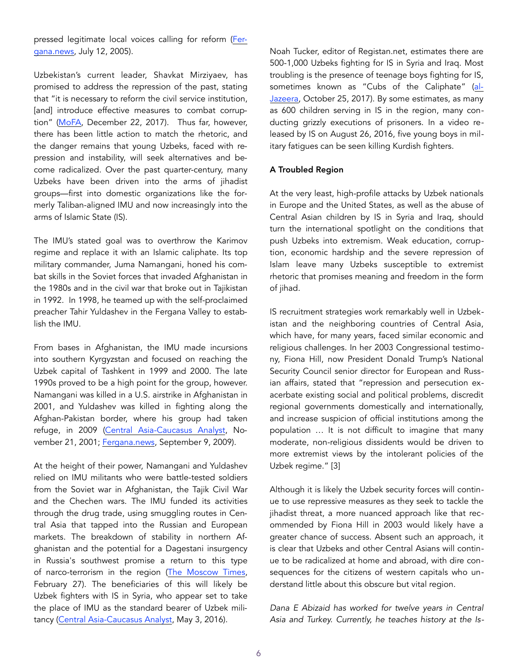pressed legitimate local voices calling for reform [\(Fer](http://www.fergananews.com/articles/3866)[gana.news](http://www.fergananews.com/articles/3866), July 12, 2005).

Uzbekistan's current leader, Shavkat Mirziyaev, has promised to address the repression of the past, stating that "it is necessary to reform the civil service institution, [and] introduce effective measures to combat corruption" [\(MoFA,](https://mfa.uz/en/press/news/2017/12/13523/) December 22, 2017). Thus far, however, there has been little action to match the rhetoric, and the danger remains that young Uzbeks, faced with repression and instability, will seek alternatives and become radicalized. Over the past quarter-century, many Uzbeks have been driven into the arms of jihadist groups—first into domestic organizations like the formerly Taliban-aligned IMU and now increasingly into the arms of Islamic State (IS).

The IMU's stated goal was to overthrow the Karimov regime and replace it with an Islamic caliphate. Its top military commander, Juma Namangani, honed his combat skills in the Soviet forces that invaded Afghanistan in the 1980s and in the civil war that broke out in Tajikistan in 1992. In 1998, he teamed up with the self-proclaimed preacher Tahir Yuldashev in the Fergana Valley to establish the IMU.

From bases in Afghanistan, the IMU made incursions into southern Kyrgyzstan and focused on reaching the Uzbek capital of Tashkent in 1999 and 2000. The late 1990s proved to be a high point for the group, however. Namangani was killed in a U.S. airstrike in Afghanistan in 2001, and Yuldashev was killed in fighting along the Afghan-Pakistan border, where his group had taken refuge, in 2009 [\(Central Asia-Caucasus Analyst](https://www.cacianalyst.org/publications/analytical-articles/item/7061-analytical-articles-caci-analyst-2001-11-21-art-7061.html), November 21, 2001; [Fergana.news,](http://enews.fergananews.com/news.php?id=1389) September 9, 2009).

At the height of their power, Namangani and Yuldashev relied on IMU militants who were battle-tested soldiers from the Soviet war in Afghanistan, the Tajik Civil War and the Chechen wars. The IMU funded its activities through the drug trade, using smuggling routes in Central Asia that tapped into the Russian and European markets. The breakdown of stability in northern Afghanistan and the potential for a Dagestani insurgency in Russia's southwest promise a return to this type of narco-terrorism in the region [\(The Moscow Times,](https://themoscowtimes.com/articles/dagestan-arrests-stifle-regions-leaders-russia-putin-60639) February 27). The beneficiaries of this will likely be Uzbek fighters with IS in Syria, who appear set to take the place of IMU as the standard bearer of Uzbek militancy [\(Central Asia-Caucasus Analyst](https://cacianalyst.org/publications/analytical-articles/item/13357-the-imu-is-extinct-what-new-for-central-asias-jihadis?.html), May 3, 2016).

Noah Tucker, editor of Registan.net, estimates there are 500-1,000 Uzbeks fighting for IS in Syria and Iraq. Most troubling is the presence of teenage boys fighting for IS, sometimes known as "Cubs of the Caliphate" ([al-](https://www.aljazeera.com/programmes/witness/2017/10/lion-cubs-isil-children-caliphate-171023104745430.html)[Jazeera,](https://www.aljazeera.com/programmes/witness/2017/10/lion-cubs-isil-children-caliphate-171023104745430.html) October 25, 2017). By some estimates, as many as 600 children serving in IS in the region, many conducting grizzly executions of prisoners. In a video released by IS on August 26, 2016, five young boys in military fatigues can be seen killing Kurdish fighters.

### A Troubled Region

At the very least, high-profile attacks by Uzbek nationals in Europe and the United States, as well as the abuse of Central Asian children by IS in Syria and Iraq, should turn the international spotlight on the conditions that push Uzbeks into extremism. Weak education, corruption, economic hardship and the severe repression of Islam leave many Uzbeks susceptible to extremist rhetoric that promises meaning and freedom in the form of jihad.

IS recruitment strategies work remarkably well in Uzbekistan and the neighboring countries of Central Asia, which have, for many years, faced similar economic and religious challenges. In her 2003 Congressional testimony, Fiona Hill, now President Donald Trump's National Security Council senior director for European and Russian affairs, stated that "repression and persecution exacerbate existing social and political problems, discredit regional governments domestically and internationally, and increase suspicion of official institutions among the population … It is not difficult to imagine that many moderate, non-religious dissidents would be driven to more extremist views by the intolerant policies of the Uzbek regime." [3]

Although it is likely the Uzbek security forces will continue to use repressive measures as they seek to tackle the jihadist threat, a more nuanced approach like that recommended by Fiona Hill in 2003 would likely have a greater chance of success. Absent such an approach, it is clear that Uzbeks and other Central Asians will continue to be radicalized at home and abroad, with dire consequences for the citizens of western capitals who understand little about this obscure but vital region.

*Dana E Abizaid has worked for twelve years in Central Asia and Turkey. Currently, he teaches history at the Is-*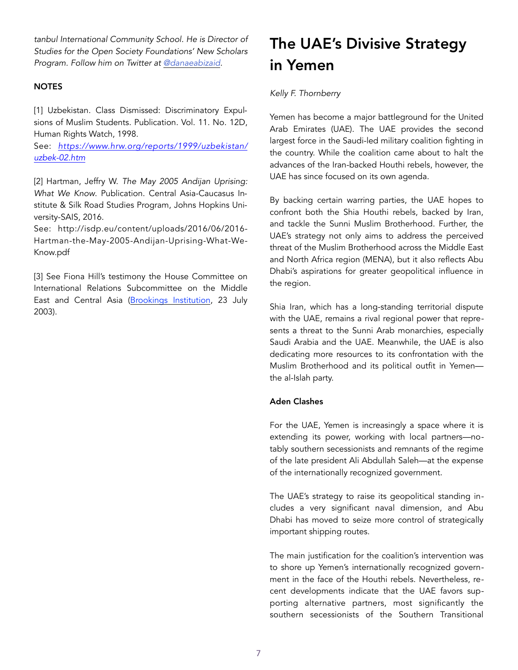*tanbul International Community School. He is Director of Studies for the Open Society Foundations' New Scholars Program. Follow him on Twitter at [@danaeabizaid](https://twitter.com/danaeabizaid%22%20%5Ct%20%22_blank).* 

## **NOTES**

[1] Uzbekistan. Class Dismissed: Discriminatory Expulsions of Muslim Students. Publication. Vol. 11. No. 12D, Human Rights Watch, 1998.

See: *[https://www.hrw.org/reports/1999/uzbekistan/](https://www.hrw.org/reports/1999/uzbekistan/uzbek-02.htm) [uzbek-02.htm](https://www.hrw.org/reports/1999/uzbekistan/uzbek-02.htm)*

[2] Hartman, Jeffry W. *The May 2005 Andijan Uprising: What We Know*. Publication. Central Asia-Caucasus Institute & Silk Road Studies Program, Johns Hopkins University-SAIS, 2016.

See: http://isdp.eu/content/uploads/2016/06/2016- Hartman-the-May-2005-Andijan-Uprising-What-We-Know.pdf

[3] See Fiona Hill's testimony the House Committee on International Relations Subcommittee on the Middle East and Central Asia ([Brookings Institution,](https://www.brookings.edu/wp-content/uploads/2016/06/20030723-1.pdf) 23 July 2003).

# The UAE's Divisive Strategy in Yemen

## *Kelly F. Thornberry*

Yemen has become a major battleground for the United Arab Emirates (UAE). The UAE provides the second largest force in the Saudi-led military coalition fighting in the country. While the coalition came about to halt the advances of the Iran-backed Houthi rebels, however, the UAE has since focused on its own agenda.

By backing certain warring parties, the UAE hopes to confront both the Shia Houthi rebels, backed by Iran, and tackle the Sunni Muslim Brotherhood. Further, the UAE's strategy not only aims to address the perceived threat of the Muslim Brotherhood across the Middle East and North Africa region (MENA), but it also reflects Abu Dhabi's aspirations for greater geopolitical influence in the region.

Shia Iran, which has a long-standing territorial dispute with the UAE, remains a rival regional power that represents a threat to the Sunni Arab monarchies, especially Saudi Arabia and the UAE. Meanwhile, the UAE is also dedicating more resources to its confrontation with the Muslim Brotherhood and its political outfit in Yemen the al-Islah party.

## Aden Clashes

For the UAE, Yemen is increasingly a space where it is extending its power, working with local partners—notably southern secessionists and remnants of the regime of the late president Ali Abdullah Saleh—at the expense of the internationally recognized government.

The UAE's strategy to raise its geopolitical standing includes a very significant naval dimension, and Abu Dhabi has moved to seize more control of strategically important shipping routes.

The main justification for the coalition's intervention was to shore up Yemen's internationally recognized government in the face of the Houthi rebels. Nevertheless, recent developments indicate that the UAE favors supporting alternative partners, most significantly the southern secessionists of the Southern Transitional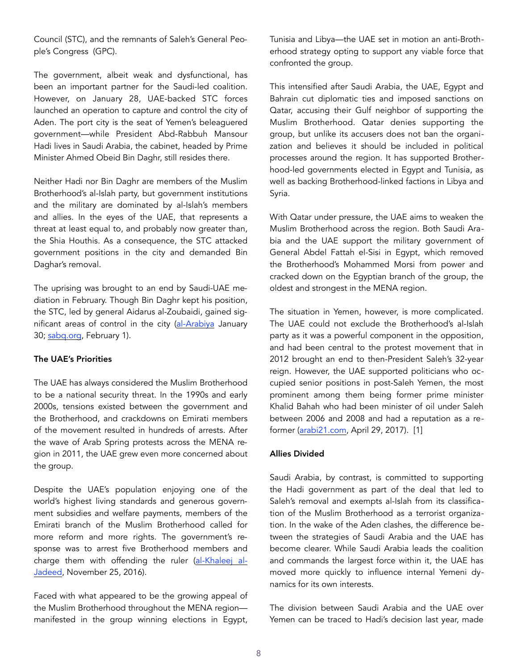Council (STC), and the remnants of Saleh's General People's Congress (GPC).

The government, albeit weak and dysfunctional, has been an important partner for the Saudi-led coalition. However, on January 28, UAE-backed STC forces launched an operation to capture and control the city of Aden. The port city is the seat of Yemen's beleaguered government—while President Abd-Rabbuh Mansour Hadi lives in Saudi Arabia, the cabinet, headed by Prime Minister Ahmed Obeid Bin Daghr, still resides there.

Neither Hadi nor Bin Daghr are members of the Muslim Brotherhood's al-Islah party, but government institutions and the military are dominated by al-Islah's members and allies. In the eyes of the UAE, that represents a threat at least equal to, and probably now greater than, the Shia Houthis. As a consequence, the STC attacked government positions in the city and demanded Bin Daghar's removal.

The uprising was brought to an end by Saudi-UAE mediation in February. Though Bin Daghr kept his position, the STC, led by general Aidarus al-Zoubaidi, gained significant areas of control in the city ([al-Arabiya](https://www.alarabiya.net/ar/arab-and-world/yemen/2018/01/30/%25D8%25A7%25D9%2584%25D8%25AF%25D8%25A7%25D8%25AE%25D9%2584%25D9%258) January 30; [sabq.org](https://sabq.org/YGdgWk), February 1).

#### The UAE's Priorities

The UAE has always considered the Muslim Brotherhood to be a national security threat. In the 1990s and early 2000s, tensions existed between the government and the Brotherhood, and crackdowns on Emirati members of the movement resulted in hundreds of arrests. After the wave of Arab Spring protests across the MENA region in 2011, the UAE grew even more concerned about the group.

Despite the UAE's population enjoying one of the world's highest living standards and generous government subsidies and welfare payments, members of the Emirati branch of the Muslim Brotherhood called for more reform and more rights. The government's response was to arrest five Brotherhood members and charge them with offending the ruler [\(al-Khaleej al-](https://medium.com/thenewkhalij/%25D8%25A7%25D9%2584%25D8%25A5%25D8%25AE%25D9%2588%25D8%25A7%25D9%2586-%25D8%25A7%25D9%2584%25D9%2585%25D8%25B3%25D9%2584%25D9%2585%25D9%2588%25D9%2586-%25D9%2588%25D8%25A7%25D9%2584%25D8%25AF%25D9%2588%25D9%2584%25D8%25A9-%25D9%2581%25D9%258A-%25D8%25A7%25D9%2584%25D8%25A5%25D9%2585%25D8%25A7%25D8%25B1%25D8%25A7%25D8%25AA-%25D9%2582%25D8%25B)[Jadeed](https://medium.com/thenewkhalij/%25D8%25A7%25D9%2584%25D8%25A5%25D8%25AE%25D9%2588%25D8%25A7%25D9%2586-%25D8%25A7%25D9%2584%25D9%2585%25D8%25B3%25D9%2584%25D9%2585%25D9%2588%25D9%2586-%25D9%2588%25D8%25A7%25D9%2584%25D8%25AF%25D9%2588%25D9%2584%25D8%25A9-%25D9%2581%25D9%258A-%25D8%25A7%25D9%2584%25D8%25A5%25D9%2585%25D8%25A7%25D8%25B1%25D8%25A7%25D8%25AA-%25D9%2582%25D8%25B), November 25, 2016).

Faced with what appeared to be the growing appeal of the Muslim Brotherhood throughout the MENA region manifested in the group winning elections in Egypt, Tunisia and Libya—the UAE set in motion an anti-Brotherhood strategy opting to support any viable force that confronted the group.

This intensified after Saudi Arabia, the UAE, Egypt and Bahrain cut diplomatic ties and imposed sanctions on Qatar, accusing their Gulf neighbor of supporting the Muslim Brotherhood. Qatar denies supporting the group, but unlike its accusers does not ban the organization and believes it should be included in political processes around the region. It has supported Brotherhood-led governments elected in Egypt and Tunisia, as well as backing Brotherhood-linked factions in Libya and Syria.

With Qatar under pressure, the UAE aims to weaken the Muslim Brotherhood across the region. Both Saudi Arabia and the UAE support the military government of General Abdel Fattah el-Sisi in Egypt, which removed the Brotherhood's Mohammed Morsi from power and cracked down on the Egyptian branch of the group, the oldest and strongest in the MENA region.

The situation in Yemen, however, is more complicated. The UAE could not exclude the Brotherhood's al-Islah party as it was a powerful component in the opposition, and had been central to the protest movement that in 2012 brought an end to then-President Saleh's 32-year reign. However, the UAE supported politicians who occupied senior positions in post-Saleh Yemen, the most prominent among them being former prime minister Khalid Bahah who had been minister of oil under Saleh between 2006 and 2008 and had a reputation as a reformer [\(arabi21.com,](http://arabi21.com) April 29, 2017). [1]

## Allies Divided

Saudi Arabia, by contrast, is committed to supporting the Hadi government as part of the deal that led to Saleh's removal and exempts al-Islah from its classification of the Muslim Brotherhood as a terrorist organization. In the wake of the Aden clashes, the difference between the strategies of Saudi Arabia and the UAE has become clearer. While Saudi Arabia leads the coalition and commands the largest force within it, the UAE has moved more quickly to influence internal Yemeni dynamics for its own interests.

The division between Saudi Arabia and the UAE over Yemen can be traced to Hadi's decision last year, made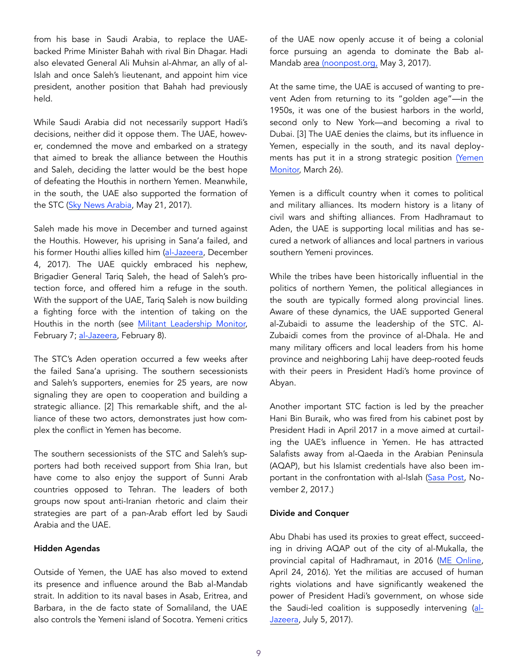from his base in Saudi Arabia, to replace the UAEbacked Prime Minister Bahah with rival Bin Dhagar. Hadi also elevated General Ali Muhsin al-Ahmar, an ally of al-Islah and once Saleh's lieutenant, and appoint him vice president, another position that Bahah had previously held.

While Saudi Arabia did not necessarily support Hadi's decisions, neither did it oppose them. The UAE, however, condemned the move and embarked on a strategy that aimed to break the alliance between the Houthis and Saleh, deciding the latter would be the best hope of defeating the Houthis in northern Yemen. Meanwhile, in the south, the UAE also supported the formation of the STC ([Sky News Arabia,](https://www.skynewsarabia.com/middle-east/950643-%D8%AA%D8%B8%D8%A7%D9%87%D8%B1%D8%A7%D8%AA-%D8) May 21, 2017).

Saleh made his move in December and turned against the Houthis. However, his uprising in Sana'a failed, and his former Houthi allies killed him [\(al-Jazeera](http://www.aljazeera.net/news/arabic/2017/12/4/%25D9%2585%25D9%2582%25D8%25AA%25D9%2584-%25D8%25B9%25D9%2584%25D9%258A-%25D8%25B9%25D8%25A8%25D8%25AF-%25D8%25A7%25D9%2584%25D9%25), December 4, 2017). The UAE quickly embraced his nephew, Brigadier General Tariq Saleh, the head of Saleh's protection force, and offered him a refuge in the south. With the support of the UAE, Tariq Saleh is now building a fighting force with the intention of taking on the Houthis in the north (see [Militant Leadership Monitor,](https://jamestown.org/program/raising-salehs-flag-southern-yemen-brigadi) February 7; [al-Jazeera](http://www.aljazeera.net/encyclopedia/icons/2018/2/5/%D8%B7%D8%A7%D8%B1%D9%82-%D8%B5%D8%A7%D9%84%D8%AD-%D8%B9%D8%B3%D9%83%D8%B1%D9%8A-%D9%8A%D9%85%D9), February 8).

The STC's Aden operation occurred a few weeks after the failed Sana'a uprising. The southern secessionists and Saleh's supporters, enemies for 25 years, are now signaling they are open to cooperation and building a strategic alliance. [2] This remarkable shift, and the alliance of these two actors, demonstrates just how complex the conflict in Yemen has become.

The southern secessionists of the STC and Saleh's supporters had both received support from Shia Iran, but have come to also enjoy the support of Sunni Arab countries opposed to Tehran. The leaders of both groups now spout anti-Iranian rhetoric and claim their strategies are part of a pan-Arab effort led by Saudi Arabia and the UAE.

#### Hidden Agendas

Outside of Yemen, the UAE has also moved to extend its presence and influence around the Bab al-Mandab strait. In addition to its naval bases in Asab, Eritrea, and Barbara, in the de facto state of Somaliland, the UAE also controls the Yemeni island of Socotra. Yemeni critics of the UAE now openly accuse it of being a colonial force pursuing an agenda to dominate the Bab al-Mandab area ([noonpost.org,](https://www.n) May 3, 2017).

At the same time, the UAE is accused of wanting to prevent Aden from returning to its "golden age"—in the 1950s, it was one of the busiest harbors in the world, second only to New York—and becoming a rival to Dubai. [3] The UAE denies the claims, but its influence in Yemen, especially in the south, and its naval deployments has put it in a strong strategic position [\(Yemen](http://www.yemenmonitor.com/Details/ArtMID/908/ArticleID/238)  [Monitor,](http://www.yemenmonitor.com/Details/ArtMID/908/ArticleID/238) March 26).

Yemen is a difficult country when it comes to political and military alliances. Its modern history is a litany of civil wars and shifting alliances. From Hadhramaut to Aden, the UAE is supporting local militias and has secured a network of alliances and local partners in various southern Yemeni provinces.

While the tribes have been historically influential in the politics of northern Yemen, the political allegiances in the south are typically formed along provincial lines. Aware of these dynamics, the UAE supported General al-Zubaidi to assume the leadership of the STC. Al-Zubaidi comes from the province of al-Dhala. He and many military officers and local leaders from his home province and neighboring Lahij have deep-rooted feuds with their peers in President Hadi's home province of Abyan.

Another important STC faction is led by the preacher Hani Bin Buraik, who was fired from his cabinet post by President Hadi in April 2017 in a move aimed at curtailing the UAE's influence in Yemen. He has attracted Salafists away from al-Qaeda in the Arabian Peninsula (AQAP), but his Islamist credentials have also been important in the confrontation with al-Islah ([Sasa Post,](https://www.sasapost.com/yemen-united-arab-emirates-hani-) November 2, 2017.)

#### Divide and Conquer

Abu Dhabi has used its proxies to great effect, succeeding in driving AQAP out of the city of al-Mukalla, the provincial capital of Hadhramaut, in 2016 ([ME Online,](http://w) April 24, 2016). Yet the militias are accused of human rights violations and have significantly weakened the power of President Hadi's government, on whose side the Saudi-led coalition is supposedly intervening ([al-](http://www.aljazeera.net/encyclopedia/military/2017/7/5/%25D9%2585%25D8%25A7%25D8%25B0%25D8%25A7-%25D8%25AA%25D8%25B9%25D8%25B1%25D9%2581-%25D8%25B9%25D9%2586-%25D8%25A7%25D9%2584%25D9%2586%25D8%25AE%25D8%25A8%25D8%25A9-%25D8%25A7%25D9%2584%25D8%25AD%25D8%25B6%25D8%25B1%25D9%2585%25D9%258A%25D8%25A9-%25D8%25A7%25D9%2584%25D8%25AA%25D9%258A-%25D8%25AA%25D)[Jazeera,](http://www.aljazeera.net/encyclopedia/military/2017/7/5/%25D9%2585%25D8%25A7%25D8%25B0%25D8%25A7-%25D8%25AA%25D8%25B9%25D8%25B1%25D9%2581-%25D8%25B9%25D9%2586-%25D8%25A7%25D9%2584%25D9%2586%25D8%25AE%25D8%25A8%25D8%25A9-%25D8%25A7%25D9%2584%25D8%25AD%25D8%25B6%25D8%25B1%25D9%2585%25D9%258A%25D8%25A9-%25D8%25A7%25D9%2584%25D8%25AA%25D9%258A-%25D8%25AA%25D) July 5, 2017).